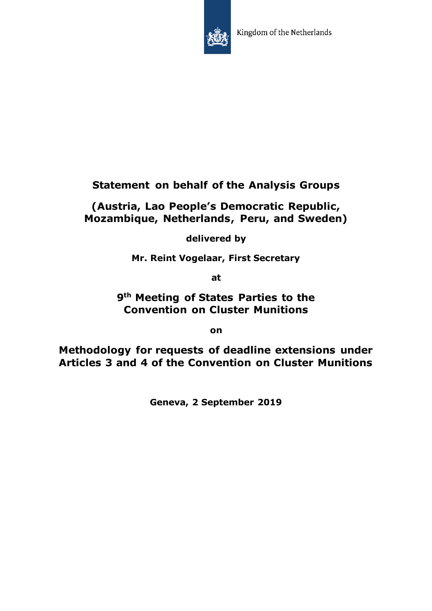

## **Statement on behalf of the Analysis Groups**

**(Austria, Lao People's Democratic Republic, Mozambique, Netherlands, Peru, and Sweden)**

**delivered by**

**Mr. Reint Vogelaar, First Secretary**

**at**

**9th Meeting of States Parties to the Convention on Cluster Munitions**

**on**

**Methodology for requests of deadline extensions under Articles 3 and 4 of the Convention on Cluster Munitions** 

**Geneva, 2 September 2019**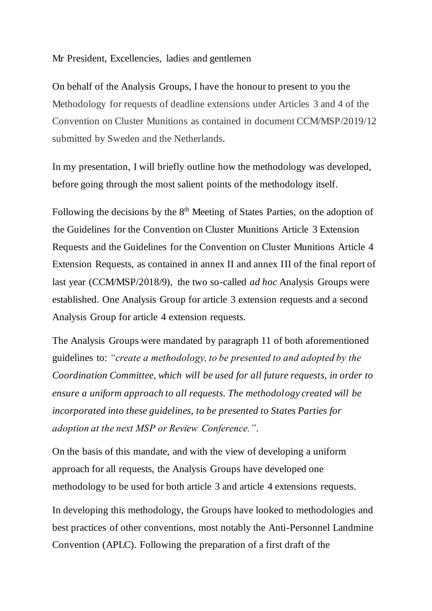## Mr President, Excellencies, ladies and gentlemen

On behalf of the Analysis Groups, I have the honour to present to you the Methodology for requests of deadline extensions under Articles 3 and 4 of the Convention on Cluster Munitions as contained in document CCM/MSP/2019/12 submitted by Sweden and the Netherlands.

In my presentation, I will briefly outline how the methodology was developed, before going through the most salient points of the methodology itself.

Following the decisions by the  $8<sup>th</sup>$  Meeting of States Parties, on the adoption of the Guidelines for the Convention on Cluster Munitions Article 3 Extension Requests and the Guidelines for the Convention on Cluster Munitions Article 4 Extension Requests, as contained in annex II and annex III of the final report of last year (CCM/MSP/2018/9), the two so-called *ad hoc* Analysis Groups were established. One Analysis Group for article 3 extension requests and a second Analysis Group for article 4 extension requests.

The Analysis Groups were mandated by paragraph 11 of both aforementioned guidelines to: *"create a methodology, to be presented to and adopted by the Coordination Committee, which will be used for all future requests, in order to ensure a uniform approach to all requests. The methodology created will be incorporated into these guidelines, to be presented to States Parties for adoption at the next MSP or Review Conference."*.

On the basis of this mandate, and with the view of developing a uniform approach for all requests, the Analysis Groups have developed one methodology to be used for both article 3 and article 4 extensions requests.

In developing this methodology, the Groups have looked to methodologies and best practices of other conventions, most notably the Anti-Personnel Landmine Convention (APLC). Following the preparation of a first draft of the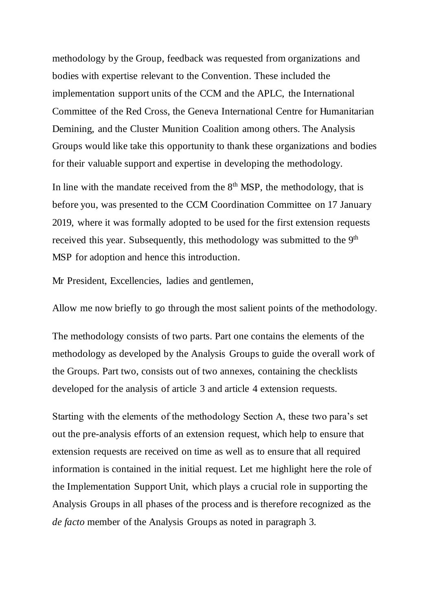methodology by the Group, feedback was requested from organizations and bodies with expertise relevant to the Convention. These included the implementation support units of the CCM and the APLC, the International Committee of the Red Cross, the Geneva International Centre for Humanitarian Demining, and the Cluster Munition Coalition among others. The Analysis Groups would like take this opportunity to thank these organizations and bodies for their valuable support and expertise in developing the methodology.

In line with the mandate received from the  $8<sup>th</sup>$  MSP, the methodology, that is before you, was presented to the CCM Coordination Committee on 17 January 2019, where it was formally adopted to be used for the first extension requests received this year. Subsequently, this methodology was submitted to the 9<sup>th</sup> MSP for adoption and hence this introduction.

Mr President, Excellencies, ladies and gentlemen,

Allow me now briefly to go through the most salient points of the methodology.

The methodology consists of two parts. Part one contains the elements of the methodology as developed by the Analysis Groups to guide the overall work of the Groups. Part two, consists out of two annexes, containing the checklists developed for the analysis of article 3 and article 4 extension requests.

Starting with the elements of the methodology Section A, these two para's set out the pre-analysis efforts of an extension request, which help to ensure that extension requests are received on time as well as to ensure that all required information is contained in the initial request. Let me highlight here the role of the Implementation Support Unit, which plays a crucial role in supporting the Analysis Groups in all phases of the process and is therefore recognized as the *de facto* member of the Analysis Groups as noted in paragraph 3.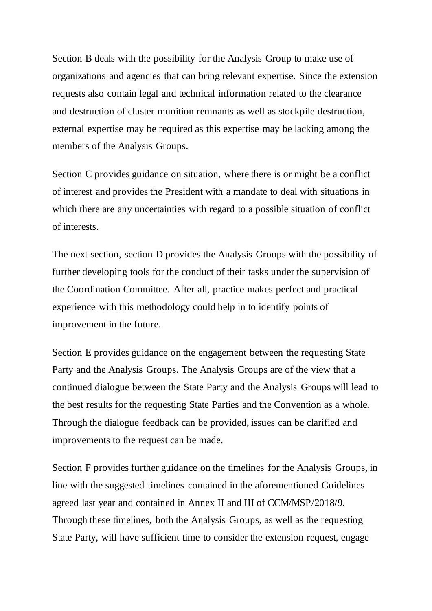Section B deals with the possibility for the Analysis Group to make use of organizations and agencies that can bring relevant expertise. Since the extension requests also contain legal and technical information related to the clearance and destruction of cluster munition remnants as well as stockpile destruction, external expertise may be required as this expertise may be lacking among the members of the Analysis Groups.

Section C provides guidance on situation, where there is or might be a conflict of interest and provides the President with a mandate to deal with situations in which there are any uncertainties with regard to a possible situation of conflict of interests.

The next section, section D provides the Analysis Groups with the possibility of further developing tools for the conduct of their tasks under the supervision of the Coordination Committee. After all, practice makes perfect and practical experience with this methodology could help in to identify points of improvement in the future.

Section E provides guidance on the engagement between the requesting State Party and the Analysis Groups. The Analysis Groups are of the view that a continued dialogue between the State Party and the Analysis Groups will lead to the best results for the requesting State Parties and the Convention as a whole. Through the dialogue feedback can be provided, issues can be clarified and improvements to the request can be made.

Section F provides further guidance on the timelines for the Analysis Groups, in line with the suggested timelines contained in the aforementioned Guidelines agreed last year and contained in Annex II and III of CCM/MSP/2018/9. Through these timelines, both the Analysis Groups, as well as the requesting State Party, will have sufficient time to consider the extension request, engage